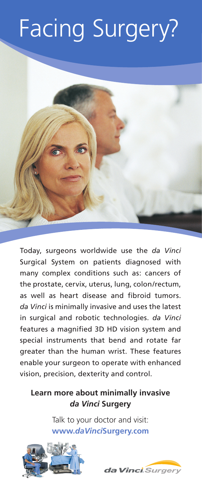## Facing Surgery?



Today, surgeons worldwide use the *da Vinci*  Surgical System on patients diagnosed with many complex conditions such as: cancers of the prostate, cervix, uterus, lung, colon/rectum, as well as heart disease and fibroid tumors. *da Vinci* is minimally invasive and uses the latest in surgical and robotic technologies. *da Vinci*  features a magnified 3D HD vision system and special instruments that bend and rotate far greater than the human wrist. These features enable your surgeon to operate with enhanced vision, precision, dexterity and control.

## **Learn more about minimally invasive**  *da Vinci* **Surgery**

Talk to your doctor and visit: **www.***daVinci***Surgery.com**